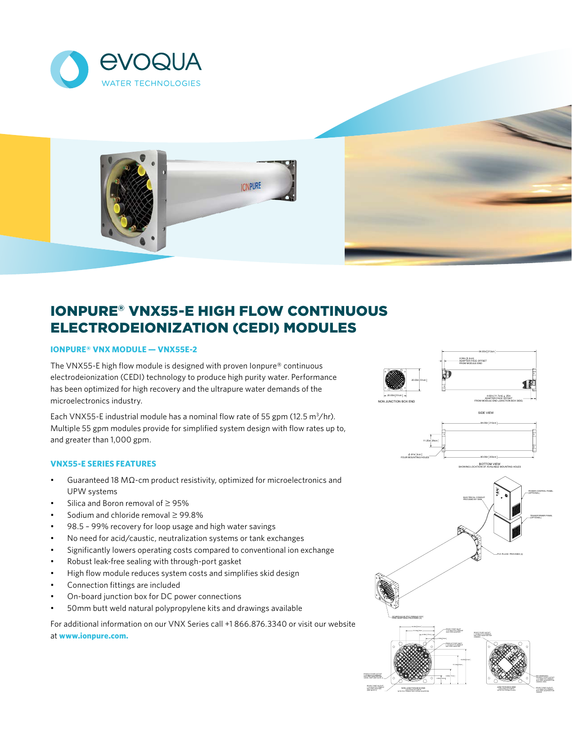



# IONPURE® VNX55-E HIGH FLOW CONTINUOUS ELECTRODEIONIZATION (CEDI) MODULES

# **IONPURE® VNX MODULE — VNX55E-2**

The VNX55-E high flow module is designed with proven lonpure® continuous electrodeionization (CEDI) technology to produce high purity water. Performance has been optimized for high recovery and the ultrapure water demands of the microelectronics industry.

Each VNX55-E industrial module has a nominal flow rate of 55 gpm (12.5  $m^3$ /hr). Multiple 55 gpm modules provide for simplified system design with flow rates up to, and greater than 1,000 gpm.

## **VNX55-E SERIES FEATURES**

- Guaranteed 18 MΩ-cm product resistivity, optimized for microelectronics and UPW systems
- Silica and Boron removal of ≥ 95%
- Sodium and chloride removal ≥ 99.8%
- 98.5 99% recovery for loop usage and high water savings
- No need for acid/caustic, neutralization systems or tank exchanges
- Significantly lowers operating costs compared to conventional ion exchange
- Robust leak-free sealing with through-port gasket
- High flow module reduces system costs and simplifies skid design
- Connection fittings are included
- On-board junction box for DC power connections
- 50mm butt weld natural polypropylene kits and drawings available

For additional information on our VNX Series call +1 866.876.3340 or visit our website at **www.ionpure.com.**